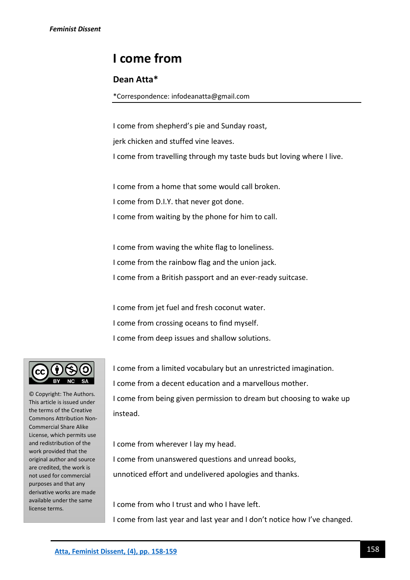## **I come from**

## **Dean Atta\***

\*Correspondence: infodeanatta@gmail.com

I come from shepherd's pie and Sunday roast, jerk chicken and stuffed vine leaves. I come from travelling through my taste buds but loving where I live.

I come from a home that some would call broken. I come from D.I.Y. that never got done. I come from waiting by the phone for him to call.

I come from waving the white flag to loneliness. I come from the rainbow flag and the union jack. I come from a British passport and an ever-ready suitcase.

I come from jet fuel and fresh coconut water. I come from crossing oceans to find myself. I come from deep issues and shallow solutions.

© Copyright: The Authors. This article is issued under the terms of the Creative Commons Attribution Non-Commercial Share Alike License, which permits use and redistribution of the work provided that the original author and source are credited, the work is not used for commercial purposes and that any derivative works are made available under the same license terms.

I come from a limited vocabulary but an unrestricted imagination. I come from a decent education and a marvellous mother. I come from being given permission to dream but choosing to wake up instead.

I come from wherever I lay my head. I come from unanswered questions and unread books, unnoticed effort and undelivered apologies and thanks.

I come from who I trust and who I have left. I come from last year and last year and I don't notice how I've changed.